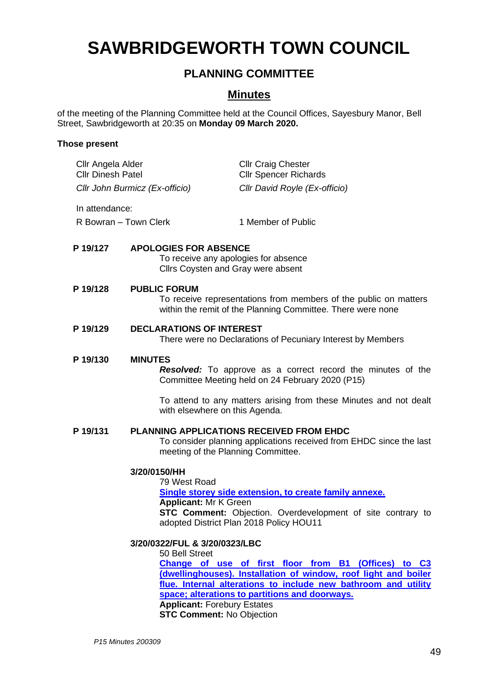# **SAWBRIDGEWORTH TOWN COUNCIL**

## **PLANNING COMMITTEE**

### **Minutes**

of the meeting of the Planning Committee held at the Council Offices, Sayesbury Manor, Bell Street, Sawbridgeworth at 20:35 on **Monday 09 March 2020.**

#### **Those present**

| Cllr Angela Alder<br><b>Cllr Dinesh Patel</b> |                                                                                                                           | <b>Cllr Craig Chester</b><br><b>Cllr Spencer Richards</b>                                                                                                                                                                                   |  |
|-----------------------------------------------|---------------------------------------------------------------------------------------------------------------------------|---------------------------------------------------------------------------------------------------------------------------------------------------------------------------------------------------------------------------------------------|--|
|                                               | Cllr John Burmicz (Ex-officio)                                                                                            | Cllr David Royle (Ex-officio)                                                                                                                                                                                                               |  |
| In attendance:                                |                                                                                                                           |                                                                                                                                                                                                                                             |  |
| R Bowran - Town Clerk                         |                                                                                                                           | 1 Member of Public                                                                                                                                                                                                                          |  |
| P 19/127                                      | <b>APOLOGIES FOR ABSENCE</b>                                                                                              | To receive any apologies for absence<br>Cllrs Coysten and Gray were absent                                                                                                                                                                  |  |
| P 19/128                                      | <b>PUBLIC FORUM</b>                                                                                                       | To receive representations from members of the public on matters<br>within the remit of the Planning Committee. There were none                                                                                                             |  |
| P 19/129                                      |                                                                                                                           | <b>DECLARATIONS OF INTEREST</b><br>There were no Declarations of Pecuniary Interest by Members                                                                                                                                              |  |
| P 19/130                                      | <b>MINUTES</b>                                                                                                            | <b>Resolved:</b> To approve as a correct record the minutes of the<br>Committee Meeting held on 24 February 2020 (P15)                                                                                                                      |  |
|                                               | with elsewhere on this Agenda.                                                                                            | To attend to any matters arising from these Minutes and not dealt                                                                                                                                                                           |  |
| P 19/131                                      |                                                                                                                           | PLANNING APPLICATIONS RECEIVED FROM EHDC<br>To consider planning applications received from EHDC since the last<br>meeting of the Planning Committee.                                                                                       |  |
|                                               | 3/20/0150/HH                                                                                                              |                                                                                                                                                                                                                                             |  |
|                                               | 79 West Road<br><b>Applicant: Mr K Green</b>                                                                              | Single storey side extension, to create family annexe.<br><b>STC Comment:</b> Objection. Overdevelopment of site contrary to                                                                                                                |  |
|                                               |                                                                                                                           | adopted District Plan 2018 Policy HOU11                                                                                                                                                                                                     |  |
|                                               | 3/20/0322/FUL & 3/20/0323/LBC<br>50 Bell Street<br><b>Applicant: Forebury Estates</b><br><b>STC Comment: No Objection</b> | Change of use of first floor from B1 (Offices) to C3<br>(dwellinghouses). Installation of window, roof light and boiler<br>flue. Internal alterations to include new bathroom and utility<br>space; alterations to partitions and doorways. |  |
|                                               |                                                                                                                           |                                                                                                                                                                                                                                             |  |